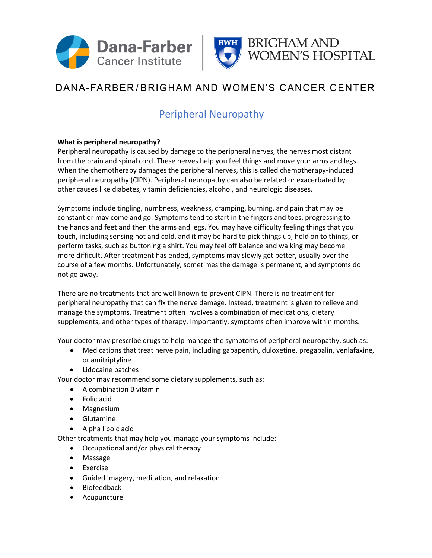



# DANA-FARBER/BRIGHAM AND WOMEN'S CANCER CENTER

### Peripheral Neuropathy

#### **What is peripheral neuropathy?**

Peripheral neuropathy is caused by damage to the peripheral nerves, the nerves most distant from the brain and spinal cord. These nerves help you feel things and move your arms and legs. When the chemotherapy damages the peripheral nerves, this is called chemotherapy-induced peripheral neuropathy (CIPN). Peripheral neuropathy can also be related or exacerbated by other causes like diabetes, vitamin deficiencies, alcohol, and neurologic diseases.

Symptoms include tingling, numbness, weakness, cramping, burning, and pain that may be constant or may come and go. Symptoms tend to start in the fingers and toes, progressing to the hands and feet and then the arms and legs. You may have difficulty feeling things that you touch, including sensing hot and cold, and it may be hard to pick things up, hold on to things, or perform tasks, such as buttoning a shirt. You may feel off balance and walking may become more difficult. After treatment has ended, symptoms may slowly get better, usually over the course of a few months. Unfortunately, sometimes the damage is permanent, and symptoms do not go away.

There are no treatments that are well known to prevent CIPN. There is no treatment for peripheral neuropathy that can fix the nerve damage. Instead, treatment is given to relieve and manage the symptoms. Treatment often involves a combination of medications, dietary supplements, and other types of therapy. Importantly, symptoms often improve within months.

Your doctor may prescribe drugs to help manage the symptoms of peripheral neuropathy, such as:

- Medications that treat nerve pain, including gabapentin, duloxetine, pregabalin, venlafaxine, or amitriptyline
- Lidocaine patches

Your doctor may recommend some dietary supplements, such as:

- A combination B vitamin
- Folic acid
- Magnesium
- Glutamine
- Alpha lipoic acid

Other treatments that may help you manage your symptoms include:

- Occupational and/or physical therapy
- Massage
- Exercise
- Guided imagery, meditation, and relaxation
- Biofeedback
- Acupuncture